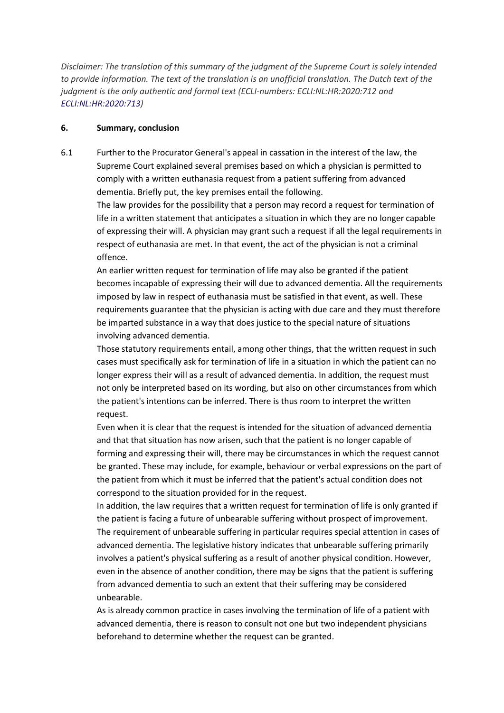*Disclaimer: The translation of this summary of the judgment of the Supreme Court is solely intended to provide information. The text of the translation is an unofficial translation. The Dutch text of the judgment is the only authentic and formal text (ECLI-numbers: ECLI:NL:HR:2020:712 and [ECLI:NL:HR:2020:713\)](http://deeplink.rechtspraak.nl/uitspraak?id=ECLI:NL:HR:2020:713)*

## **6. Summary, conclusion**

6.1 Further to the Procurator General's appeal in cassation in the interest of the law, the Supreme Court explained several premises based on which a physician is permitted to comply with a written euthanasia request from a patient suffering from advanced dementia. Briefly put, the key premises entail the following.

The law provides for the possibility that a person may record a request for termination of life in a written statement that anticipates a situation in which they are no longer capable of expressing their will. A physician may grant such a request if all the legal requirements in respect of euthanasia are met. In that event, the act of the physician is not a criminal offence.

An earlier written request for termination of life may also be granted if the patient becomes incapable of expressing their will due to advanced dementia. All the requirements imposed by law in respect of euthanasia must be satisfied in that event, as well. These requirements guarantee that the physician is acting with due care and they must therefore be imparted substance in a way that does justice to the special nature of situations involving advanced dementia.

Those statutory requirements entail, among other things, that the written request in such cases must specifically ask for termination of life in a situation in which the patient can no longer express their will as a result of advanced dementia. In addition, the request must not only be interpreted based on its wording, but also on other circumstances from which the patient's intentions can be inferred. There is thus room to interpret the written request.

Even when it is clear that the request is intended for the situation of advanced dementia and that that situation has now arisen, such that the patient is no longer capable of forming and expressing their will, there may be circumstances in which the request cannot be granted. These may include, for example, behaviour or verbal expressions on the part of the patient from which it must be inferred that the patient's actual condition does not correspond to the situation provided for in the request.

In addition, the law requires that a written request for termination of life is only granted if the patient is facing a future of unbearable suffering without prospect of improvement. The requirement of unbearable suffering in particular requires special attention in cases of advanced dementia. The legislative history indicates that unbearable suffering primarily involves a patient's physical suffering as a result of another physical condition. However, even in the absence of another condition, there may be signs that the patient is suffering from advanced dementia to such an extent that their suffering may be considered unbearable.

As is already common practice in cases involving the termination of life of a patient with advanced dementia, there is reason to consult not one but two independent physicians beforehand to determine whether the request can be granted.